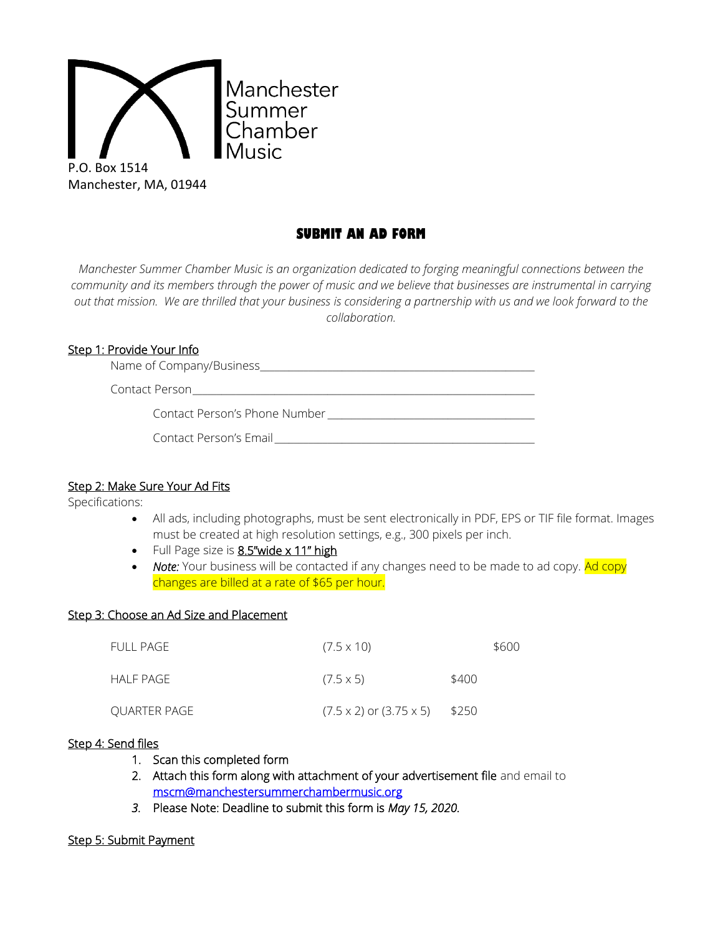

# **SUBMIT AN AD FORM**

*Manchester Summer Chamber Music is an organization dedicated to forging meaningful connections between the community and its members through the power of music and we believe that businesses are instrumental in carrying out that mission. We are thrilled that your business is considering a partnership with us and we look forward to the collaboration.*

## Step 1: Provide Your Info

Name of Company/Business\_\_\_\_\_\_\_\_\_\_\_\_\_\_\_\_\_\_\_\_\_\_\_\_\_\_\_\_\_\_\_\_\_\_\_\_\_\_\_\_\_\_\_\_\_\_\_\_\_\_\_\_\_\_\_\_\_

Contact Person

Contact Person's Phone Number

## Step 2: Make Sure Your Ad Fits

Specifications:

- All ads, including photographs, must be sent electronically in PDF, EPS or TIF file format. Images must be created at high resolution settings, e.g., 300 pixels per inch.
- $\bullet$  Full Page size is  $8.5$ "wide x 11" high
- Note: Your business will be contacted if any changes need to be made to ad copy. Ad copy changes are billed at a rate of \$65 per hour.

#### Step 3: Choose an Ad Size and Placement

| FULL PAGE    | $(7.5 \times 10)$                           | \$600 |
|--------------|---------------------------------------------|-------|
| HALF PAGE    | $(7.5 \times 5)$                            | \$400 |
| QUARTER PAGE | $(7.5 \times 2)$ or $(3.75 \times 5)$ \$250 |       |

### Step 4: Send files

- 1. Scan this completed form
- 2. Attach this form along with attachment of your advertisement file and email to [mscm@manchestersummerchambermusic.org](mailto:mscm@manchestersummerchambermusic.org)
- *3.* Please Note: Deadline to submit this form is *May 15, 2020.*

#### Step 5: Submit Payment